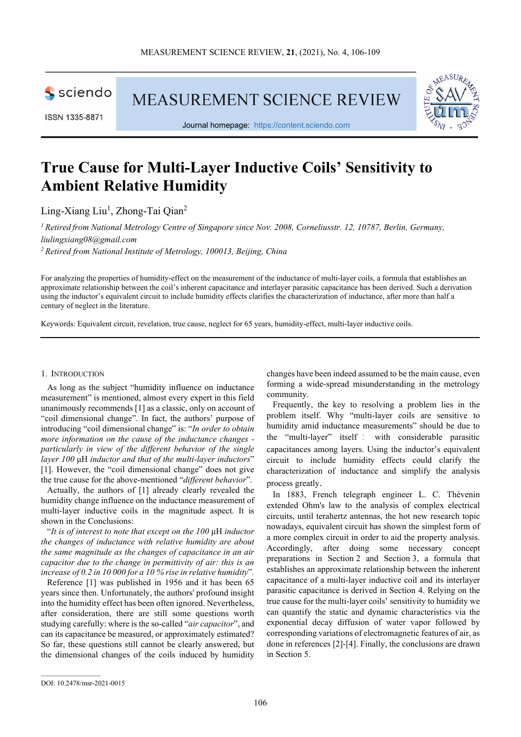

ISSN 1335-8871

MEASUREMENT SCIENCE REVIEW



Journal homepage: [https://content.sciendo.com](https://content.sciendo.com/view/journals/msr/msr-overview.xml)

# **True Cause for Multi-Layer Inductive Coils' Sensitivity to Ambient Relative Humidity**

Ling-Xiang Liu<sup>1</sup>, Zhong-Tai Qian<sup>2</sup>

*<sup>1</sup> Retired from National Metrology Centre of Singapore since Nov. 2008, Corneliusstr. 12, 10787, Berlin, Germany, liulingxiang08@gmail.com*

*2 Retired from National Institute of Metrology, 100013, Beijing, China*

For analyzing the properties of humidity-effect on the measurement of the inductance of multi-layer coils, a formula that establishes an approximate relationship between the coil's inherent capacitance and interlayer parasitic capacitance has been derived. Such a derivation using the inductor's equivalent circuit to include humidity effects clarifies the characterization of inductance, after more than half a century of neglect in the literature.

Keywords: Equivalent circuit, revelation, true cause, neglect for 65 years, humidity-effect, multi-layer inductive coils.

#### 1. INTRODUCTION

As long as the subject "humidity influence on inductance measurement" is mentioned, almost every expert in this field unanimously recommends [1] as a classic, only on account of "coil dimensional change". In fact, the authors' purpose of introducing "coil dimensional change" is: "*In order to obtain more information on the cause of the inductance changes particularly in view of the different behavior of the single layer 100* μH *inductor and that of the multi-layer inductors*" [1]. However, the "coil dimensional change" does not give the true cause for the above-mentioned "*different behavior*".

Actually, the authors of [1] already clearly revealed the humidity change influence on the inductance measurement of multi-layer inductive coils in the magnitude aspect. It is shown in the Conclusions:

"*It is of interest to note that except on the 100* μH *inductor the changes of inductance with relative humidity are about the same magnitude as the changes of capacitance in an air capacitor due to the change in permittivity of air: this is an increase of 0.2 in 10 000 for a 10 % rise in relative humidity*"*.*

Reference [1] was published in 1956 and it has been 65 years since then. Unfortunately, the authors' profound insight into the humidity effect has been often ignored. Nevertheless, after consideration, there are still some questions worth studying carefully: where is the so-called "*air capacitor*", and can its capacitance be measured, or approximately estimated? So far, these questions still cannot be clearly answered, but the dimensional changes of the coils induced by humidity changes have been indeed assumed to be the main cause, even forming a wide-spread misunderstanding in the metrology community.

Frequently, the key to resolving a problem lies in the problem itself. Why "multi-layer coils are sensitive to humidity amid inductance measurements" should be due to the "multi-layer" itself : with considerable parasitic capacitances among layers. Using the inductor's equivalent circuit to include humidity effects could clarify the characterization of inductance and simplify the analysis process greatly.

[In 1883, French telegraph engineer L. C. Thévenin](https://en.wikipedia.org/wiki/L%C3%A9on_Charles_Th%C3%A9venin) [extended Ohm's law to the analysis of complex electrical](https://en.wikipedia.org/wiki/L%C3%A9on_Charles_Th%C3%A9venin)  [circuits, until terahertz antennas, the hot new research topic](https://en.wikipedia.org/wiki/L%C3%A9on_Charles_Th%C3%A9venin)  [nowadays, equivalent circuit has shown t](https://en.wikipedia.org/wiki/L%C3%A9on_Charles_Th%C3%A9venin)he simplest form of a more complex circuit in order to aid the property analysis. Accordingly, after doing some necessary concept preparations in Section 2 and Section 3, a formula that establishes an approximate relationship between the inherent capacitance of a multi-layer inductive coil and its interlayer parasitic capacitance is derived in Section 4. Relying on the true cause for the multi-layer coils' sensitivity to humidity we can quantify the static and dynamic characteristics via the exponential decay diffusion of water vapor followed by corresponding variations of electromagnetic features of air, as done in references [2]-[4]. Finally, the conclusions are drawn in Section 5.

 $\mathcal{L}_\text{max}$  and  $\mathcal{L}_\text{max}$  and  $\mathcal{L}_\text{max}$ 

DOI: 10.2478/msr-2021-0015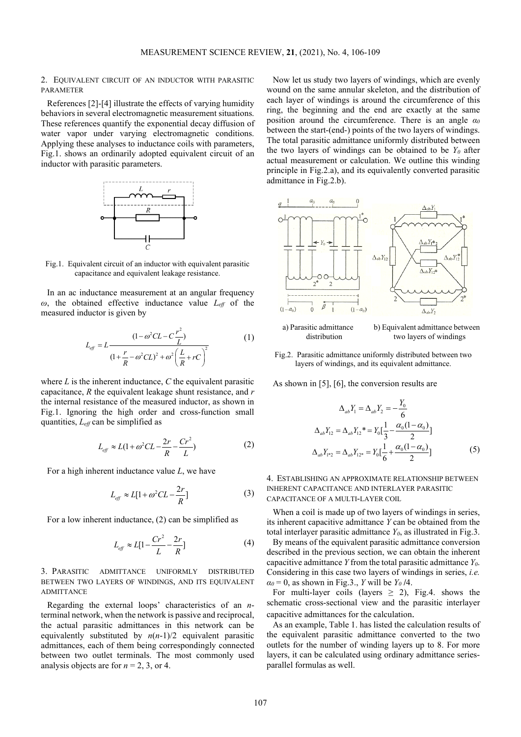2. EQUIVALENT CIRCUIT OF AN INDUCTOR WITH PARASITIC PARAMETER

References [2]-[4] illustrate the effects of varying humidity behaviors in several electromagnetic measurement situations. These references quantify the exponential decay diffusion of water vapor under varying electromagnetic conditions. Applying these analyses to inductance coils with parameters, Fig.1. shows an ordinarily adopted equivalent circuit of an inductor with parasitic parameters.



Fig.1. Equivalent circuit of an inductor with equivalent parasitic capacitance and equivalent leakage resistance.

In an ac inductance measurement at an angular frequency *ω*, the obtained effective inductance value *Leff* of the measured inductor is given by

$$
L_{eff} = L \frac{(1 - \omega^2 CL - C \frac{r^2}{L})}{(1 + \frac{r}{R} - \omega^2 CL)^2 + \omega^2 \left(\frac{L}{R} + rC\right)^2}
$$
(1)

where *L* is the inherent inductance, *C* the equivalent parasitic capacitance, *R* the equivalent leakage shunt resistance, and *r* the internal resistance of the measured inductor, as shown in Fig.1. Ignoring the high order and cross-function small quantities, *Leff* can be simplified as

$$
L_{\text{eff}} \approx L(1 + \omega^2 CL - \frac{2r}{R} - \frac{Cr^2}{L})
$$
 (2)

For a high inherent inductance value *L*, we have

$$
L_{\text{eff}} \approx L[1 + \omega^2 CL - \frac{2r}{R}] \tag{3}
$$

For a low inherent inductance, (2) can be simplified as

$$
L_{\text{eff}} \approx L[1 - \frac{Cr^2}{L} - \frac{2r}{R}] \tag{4}
$$

3. PARASITIC ADMITTANCE UNIFORMLY DISTRIBUTED BETWEEN TWO LAYERS OF WINDINGS, AND ITS EQUIVALENT ADMITTANCE

Regarding the external loops' characteristics of an *n*terminal network, when the network is passive and reciprocal, the actual parasitic admittances in this network can be equivalently substituted by *n*(*n*-1)/2 equivalent parasitic admittances, each of them being correspondingly connected between two outlet terminals. The most commonly used analysis objects are for  $n = 2, 3$ , or 4.

Now let us study two layers of windings, which are evenly wound on the same annular skeleton, and the distribution of each layer of windings is around the circumference of this ring, the beginning and the end are exactly at the same position around the circumference. There is an angle *α<sup>0</sup>* between the start-(end-) points of the two layers of windings. The total parasitic admittance uniformly distributed between the two layers of windings can be obtained to be  $Y_0$  after actual measurement or calculation. We outline this winding principle in Fig.2.a), and its equivalently converted parasitic admittance in Fig.2.b).



a) Parasitic admittance b) Equivalent admittance between distribution two layers of windings

Fig.2. Parasitic admittance uniformly distributed between two layers of windings, and its equivalent admittance.

As shown in [5], [6], the conversion results are

$$
\Delta_{ab} Y_1 = \Delta_{ab} Y_2 = -\frac{Y_0}{6}
$$
  
\n
$$
\Delta_{ab} Y_{12} = \Delta_{ab} Y_{12}^* = Y_0 \left[ \frac{1}{3} - \frac{\alpha_0 (1 - \alpha_0)}{2} \right]
$$
  
\n
$$
\Delta_{ab} Y_{12} = \Delta_{ab} Y_{12^*} = Y_0 \left[ \frac{1}{6} + \frac{\alpha_0 (1 - \alpha_0)}{2} \right]
$$
 (5)

4. ESTABLISHING AN APPROXIMATE RELATIONSHIP BETWEEN INHERENT CAPACITANCE AND INTERLAYER PARASITIC CAPACITANCE OF A MULTI-LAYER COIL

When a coil is made up of two layers of windings in series, its inherent capacitive admittance *Y* can be obtained from the total interlayer parasitic admittance  $Y_0$ , as illustrated in Fig.3.

By means of the equivalent parasitic admittance conversion described in the previous section, we can obtain the inherent capacitive admittance *Y* from the total parasitic admittance *Y0*. Considering in this case two layers of windings in series, *i.e.*  $\alpha_0 = 0$ , as shown in Fig.3., *Y* will be *Y<sub>0</sub>* /4.

For multi-layer coils (layers  $\geq$  2), Fig.4. shows the schematic cross-sectional view and the parasitic interlayer capacitive admittances for the calculation.

As an example, Table 1. has listed the calculation results of the equivalent parasitic admittance converted to the two outlets for the number of winding layers up to 8. For more layers, it can be calculated using ordinary admittance seriesparallel formulas as well.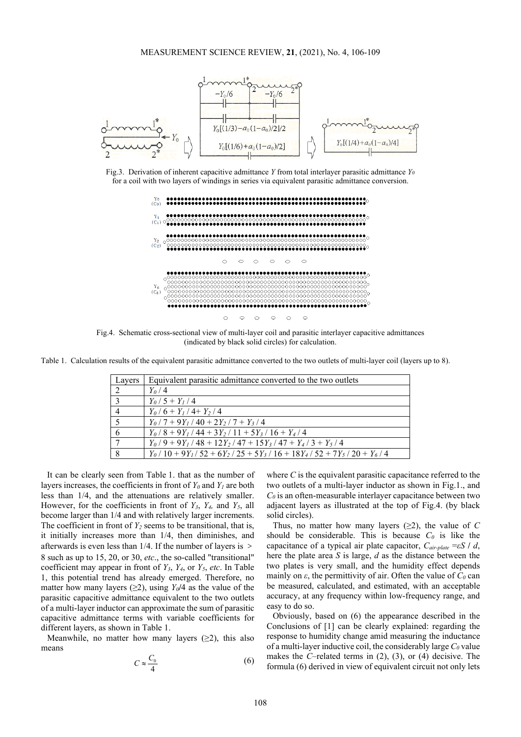#### MEASUREMENT SCIENCE REVIEW, **21**, (2021), No. 4, 106-109



Fig.3. Derivation of inherent capacitive admittance *Y* from total interlayer parasitic admittance *Y0* for a coil with two layers of windings in series via equivalent parasitic admittance conversion.



Fig.4. Schematic cross-sectional view of multi-layer coil and parasitic interlayer capacitive admittances (indicated by black solid circles) for calculation.

Table 1. Calculation results of the equivalent parasitic admittance converted to the two outlets of multi-layer coil (layers up to 8).

| Layers         | Equivalent parasitic admittance converted to the two outlets                                       |
|----------------|----------------------------------------------------------------------------------------------------|
| 2              | $Y_0/4$                                                                                            |
| $\mathcal{R}$  | $Y_0/5 + Y_1/4$                                                                                    |
| $\overline{4}$ | $Y_0/6 + Y_1/4 + Y_2/4$                                                                            |
| $\sqrt{2}$     | $Y_0$ / 7 + 9 $Y_1$ / 40 + 2 $Y_2$ / 7 + $Y_3$ / 4                                                 |
| 6              | $Y_0$ / 8 + 9 $Y_1$ / 44 + 3 $Y_2$ / 11 + 5 $Y_3$ / 16 + $Y_4$ / 4                                 |
|                | $Y_0$ / 9 + 9 $Y_1$ / 48 + 12 $Y_2$ / 47 + 15 $Y_3$ / 47 + $Y_4$ / 3 + $Y_5$ / 4                   |
| 8              | $Y_0$ / 10 + 9 $Y_1$ / 52 + 6 $Y_2$ / 25 + 5 $Y_3$ / 16 + 18 $Y_4$ / 52 + 7 $Y_5$ / 20 + $Y_6$ / 4 |

It can be clearly seen from Table 1. that as the number of layers increases, the coefficients in front of  $Y_0$  and  $Y_1$  are both less than 1/4, and the attenuations are relatively smaller. However, for the coefficients in front of *Y3*, *Y4,* and *Y5*, all become larger than 1/4 and with relatively larger increments. The coefficient in front of  $Y_2$  seems to be transitional, that is, it initially increases more than 1/4, then diminishes, and afterwards is even less than 1/4. If the number of layers is > 8 such as up to 15, 20, or 30, *etc*., the so-called "transitional" coefficient may appear in front of *Y3*, *Y4*, or *Y5*, *etc*. In Table 1, this potential trend has already emerged. Therefore, no matter how many layers ( $\geq$ 2), using *Y<sub>0</sub>*/4 as the value of the parasitic capacitive admittance equivalent to the two outlets of a multi-layer inductor can approximate the sum of parasitic capacitive admittance terms with variable coefficients for different layers, as shown in Table 1.

Meanwhile, no matter how many layers  $(\geq 2)$ , this also means

$$
C \approx \frac{C_0}{4} \tag{6}
$$

where *C* is the equivalent parasitic capacitance referred to the two outlets of a multi-layer inductor as shown in Fig.1., and  $C_0$  is an often-measurable interlayer capacitance between two adjacent layers as illustrated at the top of Fig.4. (by black solid circles).

Thus, no matter how many layers  $(\geq 2)$ , the value of C should be considerable. This is because  $C_0$  is like the capacitance of a typical air plate capacitor, *Cair-plate* =*εS* **/** *d*, here the plate area *S* is large, *d* as the distance between the two plates is very small, and the humidity effect depends mainly on  $\varepsilon$ , the permittivity of air. Often the value of  $C_0$  can be measured, calculated, and estimated, with an acceptable accuracy, at any frequency within low-frequency range, and easy to do so.

Obviously, based on (6) the appearance described in the Conclusions of [1] can be clearly explained: regarding the response to humidity change amid measuring the inductance of a multi-layer inductive coil, the considerably large  $C_0$  value makes the *C*–related terms in (2), (3), or (4) decisive. The formula (6) derived in view of equivalent circuit not only lets